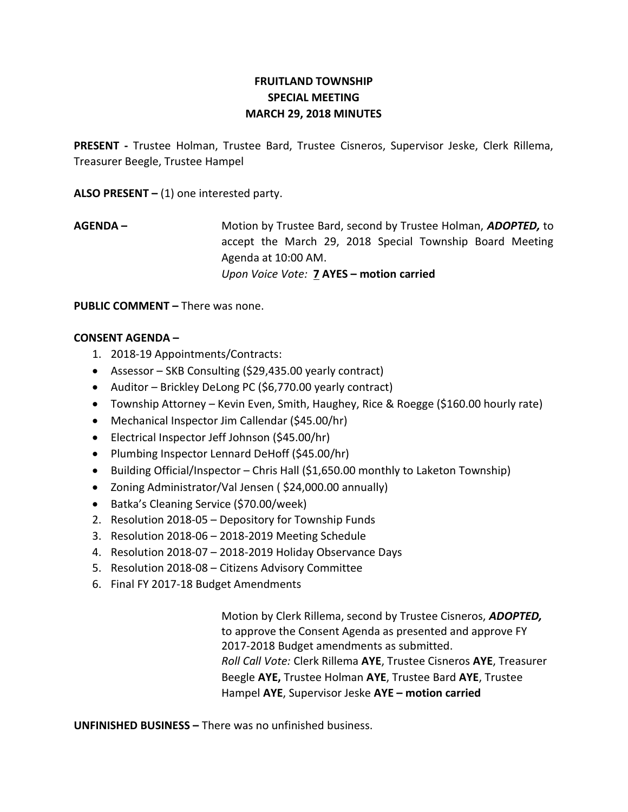# FRUITLAND TOWNSHIP SPECIAL MEETING MARCH 29, 2018 MINUTES

PRESENT - Trustee Holman, Trustee Bard, Trustee Cisneros, Supervisor Jeske, Clerk Rillema, Treasurer Beegle, Trustee Hampel

ALSO PRESENT  $-$  (1) one interested party.

AGENDA – Motion by Trustee Bard, second by Trustee Holman, ADOPTED, to accept the March 29, 2018 Special Township Board Meeting Agenda at 10:00 AM. Upon Voice Vote: 7 AYES – motion carried

PUBLIC COMMENT – There was none.

## CONSENT AGENDA –

- 1. 2018-19 Appointments/Contracts:
- Assessor SKB Consulting (\$29,435.00 yearly contract)
- Auditor Brickley DeLong PC (\$6,770.00 yearly contract)
- Township Attorney Kevin Even, Smith, Haughey, Rice & Roegge (\$160.00 hourly rate)
- Mechanical Inspector Jim Callendar (\$45.00/hr)
- Electrical Inspector Jeff Johnson (\$45.00/hr)
- Plumbing Inspector Lennard DeHoff (\$45.00/hr)
- Building Official/Inspector Chris Hall (\$1,650.00 monthly to Laketon Township)
- Zoning Administrator/Val Jensen ( \$24,000.00 annually)
- Batka's Cleaning Service (\$70.00/week)
- 2. Resolution 2018-05 Depository for Township Funds
- 3. Resolution 2018-06 2018-2019 Meeting Schedule
- 4. Resolution 2018-07 2018-2019 Holiday Observance Days
- 5. Resolution 2018-08 Citizens Advisory Committee
- 6. Final FY 2017-18 Budget Amendments

Motion by Clerk Rillema, second by Trustee Cisneros, ADOPTED, to approve the Consent Agenda as presented and approve FY 2017-2018 Budget amendments as submitted. Roll Call Vote: Clerk Rillema AYE, Trustee Cisneros AYE, Treasurer Beegle AYE, Trustee Holman AYE, Trustee Bard AYE, Trustee Hampel AYE, Supervisor Jeske AYE - motion carried

UNFINISHED BUSINESS – There was no unfinished business.